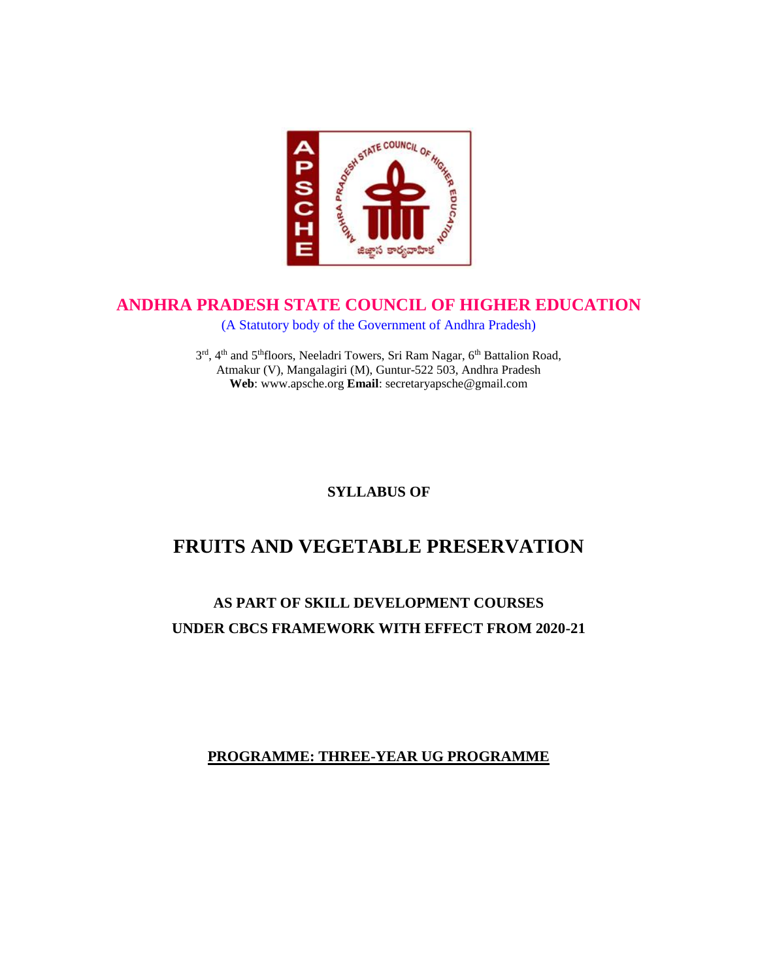

# **ANDHRA PRADESH STATE COUNCIL OF HIGHER EDUCATION**

(A Statutory body of the Government of Andhra Pradesh)

3rd, 4<sup>th</sup> and 5<sup>th</sup>floors, Neeladri Towers, Sri Ram Nagar, 6<sup>th</sup> Battalion Road, Atmakur (V), Mangalagiri (M), Guntur-522 503, Andhra Pradesh **Web**: www.apsche.org **Email**: secretaryapsche@gmail.com

**SYLLABUS OF**

# **FRUITS AND VEGETABLE PRESERVATION**

# **AS PART OF SKILL DEVELOPMENT COURSES UNDER CBCS FRAMEWORK WITH EFFECT FROM 2020-21**

**PROGRAMME: THREE-YEAR UG PROGRAMME**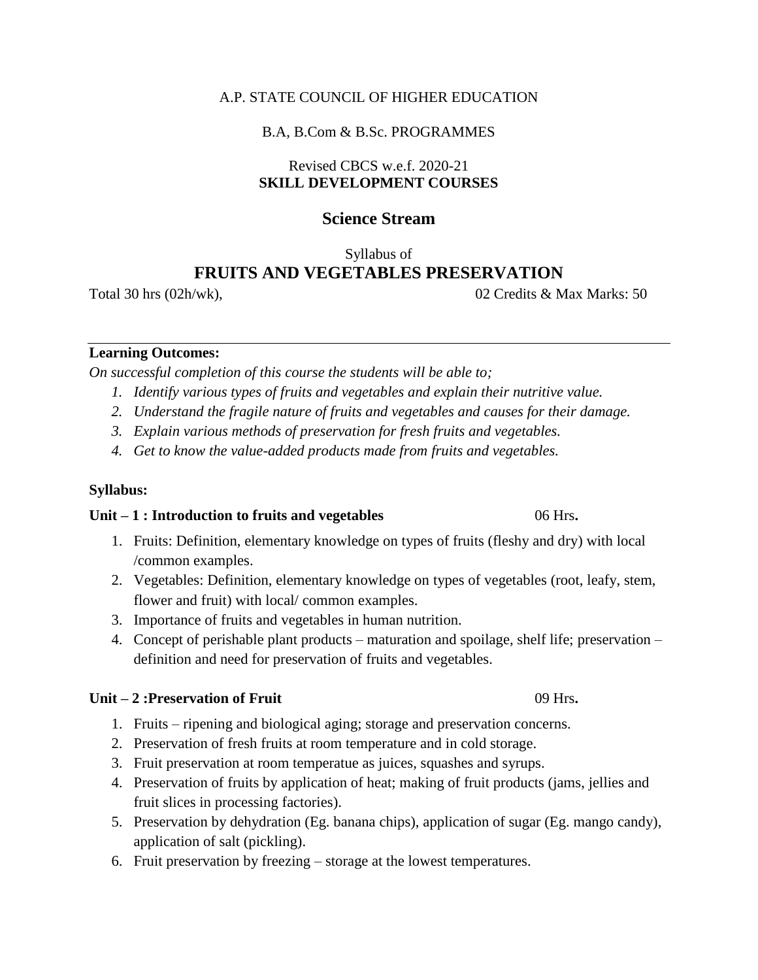#### A.P. STATE COUNCIL OF HIGHER EDUCATION

#### B.A, B.Com & B.Sc. PROGRAMMES

### Revised CBCS w.e.f. 2020-21 **SKILL DEVELOPMENT COURSES**

# **Science Stream**

Syllabus of

# **FRUITS AND VEGETABLES PRESERVATION**

Total 30 hrs (02h/wk),  $\frac{02 \text{ C} \cdot \text{C} \cdot \text{C}}{02 \text{ C} \cdot \text{C}}$  (02 Credits & Max Marks: 50)

#### **Learning Outcomes:**

*On successful completion of this course the students will be able to;*

- *1. Identify various types of fruits and vegetables and explain their nutritive value.*
- *2. Understand the fragile nature of fruits and vegetables and causes for their damage.*
- *3. Explain various methods of preservation for fresh fruits and vegetables.*
- *4. Get to know the value-added products made from fruits and vegetables.*

### **Syllabus:**

#### **Unit – 1 : Introduction to fruits and vegetables** 06 Hrs**.**

- 1. Fruits: Definition, elementary knowledge on types of fruits (fleshy and dry) with local /common examples.
- 2. Vegetables: Definition, elementary knowledge on types of vegetables (root, leafy, stem, flower and fruit) with local/ common examples.
- 3. Importance of fruits and vegetables in human nutrition.
- 4. Concept of perishable plant products maturation and spoilage, shelf life; preservation definition and need for preservation of fruits and vegetables.

### **Unit – 2 :Preservation of Fruit** 09 Hrs**.**

- 1. Fruits ripening and biological aging; storage and preservation concerns.
- 2. Preservation of fresh fruits at room temperature and in cold storage.
- 3. Fruit preservation at room temperatue as juices, squashes and syrups.
- 4. Preservation of fruits by application of heat; making of fruit products (jams, jellies and fruit slices in processing factories).
- 5. Preservation by dehydration (Eg. banana chips), application of sugar (Eg. mango candy), application of salt (pickling).
- 6. Fruit preservation by freezing storage at the lowest temperatures.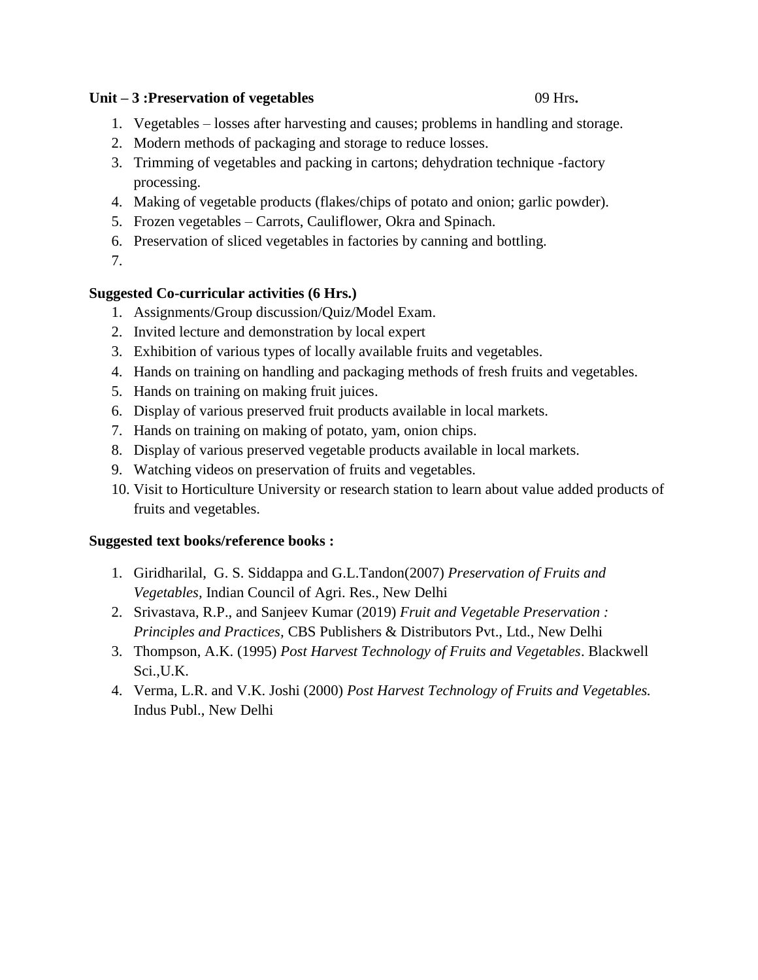#### **Unit – 3 :Preservation of vegetables** 09 Hrs**.**

- 1. Vegetables losses after harvesting and causes; problems in handling and storage.
- 2. Modern methods of packaging and storage to reduce losses.
- 3. Trimming of vegetables and packing in cartons; dehydration technique -factory processing.
- 4. Making of vegetable products (flakes/chips of potato and onion; garlic powder).
- 5. Frozen vegetables Carrots, Cauliflower, Okra and Spinach.
- 6. Preservation of sliced vegetables in factories by canning and bottling.
- 7.

# **Suggested Co-curricular activities (6 Hrs.)**

- 1. Assignments/Group discussion/Quiz/Model Exam.
- 2. Invited lecture and demonstration by local expert
- 3. Exhibition of various types of locally available fruits and vegetables.
- 4. Hands on training on handling and packaging methods of fresh fruits and vegetables.
- 5. Hands on training on making fruit juices.
- 6. Display of various preserved fruit products available in local markets.
- 7. Hands on training on making of potato, yam, onion chips.
- 8. Display of various preserved vegetable products available in local markets.
- 9. Watching videos on preservation of fruits and vegetables.
- 10. Visit to Horticulture University or research station to learn about value added products of fruits and vegetables.

### **Suggested text books/reference books :**

- 1. Giridharilal, G. S. Siddappa and G.L.Tandon(2007) *Preservation of Fruits and Vegetables,* Indian Council of Agri. Res., New Delhi
- 2. Srivastava, R.P., and Sanjeev Kumar (2019) *Fruit and Vegetable Preservation : Principles and Practices,* CBS Publishers & Distributors Pvt., Ltd., New Delhi
- 3. Thompson, A.K. (1995) *Post Harvest Technology of Fruits and Vegetables*. Blackwell Sci.,U.K.
- 4. Verma, L.R. and V.K. Joshi (2000) *Post Harvest Technology of Fruits and Vegetables.*  Indus Publ., New Delhi